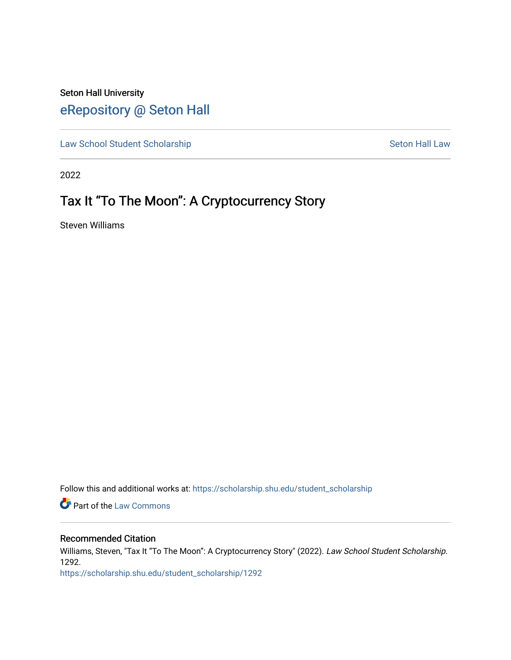## Seton Hall University [eRepository @ Seton Hall](https://scholarship.shu.edu/)

[Law School Student Scholarship](https://scholarship.shu.edu/student_scholarship) Seton Hall Law

2022

# Tax It "To The Moon": A Cryptocurrency Story

Steven Williams

Follow this and additional works at: [https://scholarship.shu.edu/student\\_scholarship](https://scholarship.shu.edu/student_scholarship?utm_source=scholarship.shu.edu%2Fstudent_scholarship%2F1292&utm_medium=PDF&utm_campaign=PDFCoverPages) 

**Part of the [Law Commons](http://network.bepress.com/hgg/discipline/578?utm_source=scholarship.shu.edu%2Fstudent_scholarship%2F1292&utm_medium=PDF&utm_campaign=PDFCoverPages)** 

## Recommended Citation

Williams, Steven, "Tax It "To The Moon": A Cryptocurrency Story" (2022). Law School Student Scholarship. 1292.

[https://scholarship.shu.edu/student\\_scholarship/1292](https://scholarship.shu.edu/student_scholarship/1292?utm_source=scholarship.shu.edu%2Fstudent_scholarship%2F1292&utm_medium=PDF&utm_campaign=PDFCoverPages)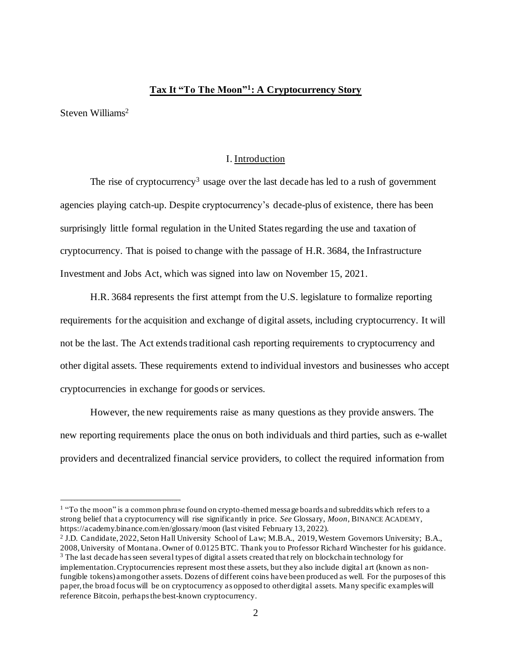## **Tax It "To The Moon"<sup>1</sup> : A Cryptocurrency Story**

Steven Williams<sup>2</sup>

#### I. Introduction

The rise of cryptocurrency<sup>3</sup> usage over the last decade has led to a rush of government agencies playing catch-up. Despite cryptocurrency's decade-plus of existence, there has been surprisingly little formal regulation in the United States regarding the use and taxation of cryptocurrency. That is poised to change with the passage of H.R. 3684, the Infrastructure Investment and Jobs Act, which was signed into law on November 15, 2021.

H.R. 3684 represents the first attempt from the U.S. legislature to formalize reporting requirements for the acquisition and exchange of digital assets, including cryptocurrency. It will not be the last. The Act extends traditional cash reporting requirements to cryptocurrency and other digital assets. These requirements extend to individual investors and businesses who accept cryptocurrencies in exchange for goods or services.

However, the new requirements raise as many questions as they provide answers. The new reporting requirements place the onus on both individuals and third parties, such as e-wallet providers and decentralized financial service providers, to collect the required information from

<sup>&</sup>lt;sup>1</sup> "To the moon" is a common phrase found on crypto-themed message boards and subreddits which refers to a strong belief that a cryptocurrency will rise significantly in price. *See* Glossary, *Moon*, BINANCE ACADEMY, https://academy.binance.com/en/glossary/moon (last visited February 13, 2022).

<sup>2</sup> J.D. Candidate, 2022, Seton Hall University School of Law; M.B.A., 2019, Western Governors University; B.A., 2008, University of Montana. Owner of 0.0125 BTC. Thank you to Professor Richard Winchester for his guidance. <sup>3</sup> The last decade has seen several types of digital assets created that rely on blockchain technology for implementation. Cryptocurrencies represent most these assets, but they also include digital art (known as nonfungible tokens) among other assets. Dozens of different coins have been produced as well. For the purposes of this paper, the broad focus will be on cryptocurrency as opposed to other digital assets. Many specific examples will reference Bitcoin, perhaps the best-known cryptocurrency.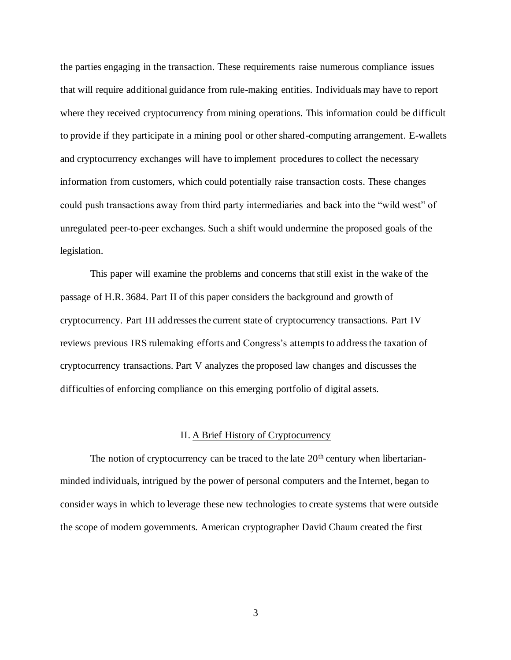the parties engaging in the transaction. These requirements raise numerous compliance issues that will require additional guidance from rule-making entities. Individuals may have to report where they received cryptocurrency from mining operations. This information could be difficult to provide if they participate in a mining pool or other shared-computing arrangement. E-wallets and cryptocurrency exchanges will have to implement procedures to collect the necessary information from customers, which could potentially raise transaction costs. These changes could push transactions away from third party intermediaries and back into the "wild west" of unregulated peer-to-peer exchanges. Such a shift would undermine the proposed goals of the legislation.

This paper will examine the problems and concerns that still exist in the wake of the passage of H.R. 3684. Part II of this paper considers the background and growth of cryptocurrency. Part III addresses the current state of cryptocurrency transactions. Part IV reviews previous IRS rulemaking efforts and Congress's attemptsto address the taxation of cryptocurrency transactions. Part V analyzes the proposed law changes and discusses the difficulties of enforcing compliance on this emerging portfolio of digital assets.

## II. A Brief History of Cryptocurrency

The notion of cryptocurrency can be traced to the late  $20<sup>th</sup>$  century when libertarianminded individuals, intrigued by the power of personal computers and the Internet, began to consider ways in which to leverage these new technologies to create systems that were outside the scope of modern governments. American cryptographer David Chaum created the first

3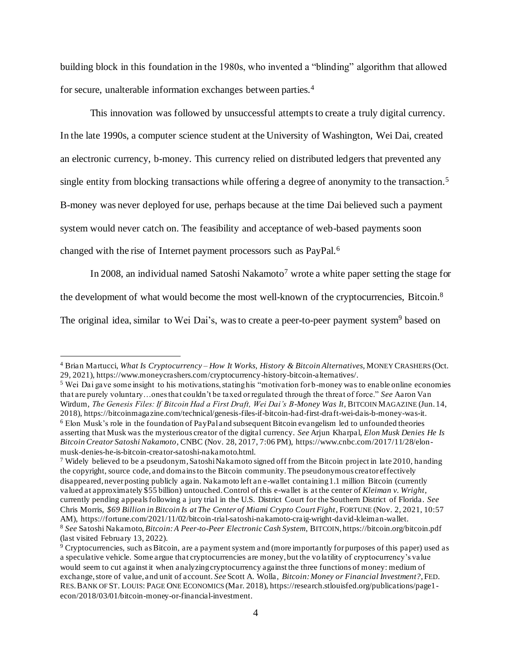building block in this foundation in the 1980s, who invented a "blinding" algorithm that allowed for secure, unalterable information exchanges between parties.<sup>4</sup>

This innovation was followed by unsuccessful attempts to create a truly digital currency. In the late 1990s, a computer science student at the University of Washington, Wei Dai, created an electronic currency, b-money. This currency relied on distributed ledgers that prevented any single entity from blocking transactions while offering a degree of anonymity to the transaction.<sup>5</sup> B-money was never deployed for use, perhaps because at the time Dai believed such a payment system would never catch on. The feasibility and acceptance of web-based payments soon changed with the rise of Internet payment processors such as PayPal.<sup>6</sup>

In 2008, an individual named Satoshi Nakamoto<sup>7</sup> wrote a white paper setting the stage for

the development of what would become the most well-known of the cryptocurrencies, Bitcoin.<sup>8</sup>

The original idea, similar to Wei Dai's, was to create a peer-to-peer payment system<sup>9</sup> based on

<sup>4</sup> Brian Martucci, *What Is Cryptocurrency – How It Works, History & Bitcoin Alternatives,* MONEY CRASHERS (Oct. 29, 2021), https://www.moneycrashers.com/cryptocurrency-history-bitcoin-alternatives/.

<sup>5</sup> Wei Dai gave some insight to his motivations, stating his "motivation for b-money was to enable online economies that are purely voluntary…ones that couldn't be taxed or regulated through the threat of force." *See* Aaron Van Wirdum, *The Genesis Files: If Bitcoin Had a First Draft, Wei Dai's B-Money Was It*, BITCOIN MAGAZINE (Jun. 14, 2018), https://bitcoinmagazine.com/technical/genesis-files-if-bitcoin-had-first-draft-wei-dais-b-money-was-it.  $6$  Elon Musk's role in the foundation of PayPal and subsequent Bitcoin evangelism led to unfounded theories asserting that Musk was the mysterious creator of the digital currency. *See* Arjun Kharpal, *Elon Musk Denies He Is Bitcoin Creator Satoshi Nakamoto*, CNBC (Nov. 28, 2017, 7:06 PM), https://www.cnbc.com/2017/11/28/elonmusk-denies-he-is-bitcoin-creator-satoshi-nakamoto.html.

<sup>7</sup> Widely believed to be a pseudonym, Satoshi Nakamoto signed off from the Bitcoin project in late 2010, handing the copyright, source code, and domains to the Bitcoin community. The pseudonymous creator effectively disappeared, never posting publicly again. Nakamoto left an e-wallet containing 1.1 million Bitcoin (currently valued at approximately \$55 billion) untouched. Control of this e-wallet is at the center of *Kleiman v. Wright*, currently pending appeals following a jury trial in the U.S. District Court for the Southern District of Florida. *See* Chris Morris, *\$69 Billion in Bitcoin Is at The Center of Miami Crypto Court Fight*, FORTUNE (Nov. 2, 2021, 10:57 AM), https://fortune.com/2021/11/02/bitcoin-trial-satoshi-nakamoto-craig-wright-david-kleiman-wallet. <sup>8</sup> *See* Satoshi Nakamoto, *Bitcoin: A Peer-to-Peer Electronic Cash System*, BITCOIN, https://bitcoin.org/bitcoin.pdf (last visited February 13, 2022).

<sup>9</sup> Cryptocurrencies, such as Bitcoin, are a payment system and (more importantly for purposes of this paper) used as a speculative vehicle. Some argue that cryptocurrencies are money, but the volatility of cryptocurrency's value would seem to cut against it when analyzing cryptocurrency against the three functions of money: medium of exchange, store of value, and unit of account. *See* Scott A. Wolla, *Bitcoin: Money or Financial Investment?*, FED. RES.BANK OF ST. LOUIS: PAGE ONE ECONOMICS (Mar. 2018), https://research.stlouisfed.org/publications/page1 econ/2018/03/01/bitcoin-money-or-financial-investment.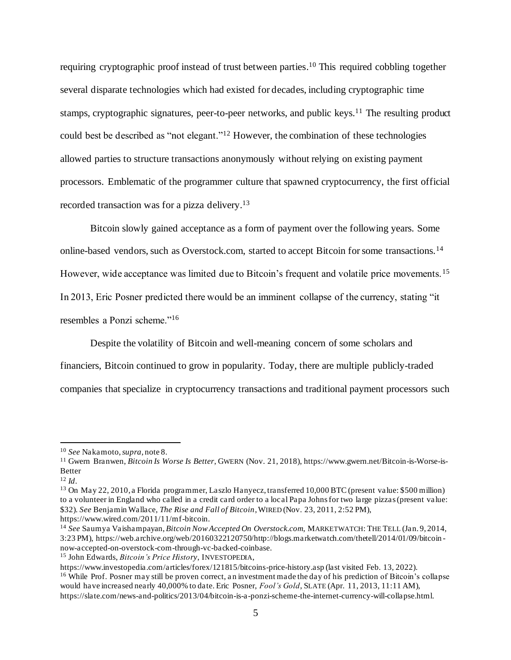requiring cryptographic proof instead of trust between parties.<sup>10</sup> This required cobbling together several disparate technologies which had existed for decades, including cryptographic time stamps, cryptographic signatures, peer-to-peer networks, and public keys.<sup>11</sup> The resulting product could best be described as "not elegant."<sup>12</sup> However, the combination of these technologies allowed parties to structure transactions anonymously without relying on existing payment processors. Emblematic of the programmer culture that spawned cryptocurrency, the first official recorded transaction was for a pizza delivery.<sup>13</sup>

Bitcoin slowly gained acceptance as a form of payment over the following years. Some online-based vendors, such as Overstock.com, started to accept Bitcoin for some transactions.<sup>14</sup> However, wide acceptance was limited due to Bitcoin's frequent and volatile price movements.<sup>15</sup> In 2013, Eric Posner predicted there would be an imminent collapse of the currency, stating "it resembles a Ponzi scheme."<sup>16</sup>

Despite the volatility of Bitcoin and well-meaning concern of some scholars and financiers, Bitcoin continued to grow in popularity. Today, there are multiple publicly-traded

companies that specialize in cryptocurrency transactions and traditional payment processors such

<sup>12</sup> *Id*.

<sup>10</sup> *See* Nakamoto,*supra*, note 8.

<sup>11</sup> Gwern Branwen, *Bitcoin Is Worse Is Better*, GWERN (Nov. 21, 2018), https://www.gwern.net/Bitcoin-is-Worse-is-Better

<sup>13</sup> On May 22, 2010, a Florida programmer, Laszlo Hanyecz, transferred 10,000 BTC (present value: \$500 million) to a volunteer in England who called in a credit card order to a local Papa Johns for two large pizzas (present value: \$32). *See* Benjamin Wallace, *The Rise and Fall of Bitcoin*, WIRED (Nov. 23, 2011, 2:52 PM), https://www.wired.com/2011/11/mf-bitcoin.

<sup>14</sup> *See* Saumya Vaishampayan, *Bitcoin Now Accepted On Overstock.com*, MARKETWATCH: THE TELL (Jan. 9, 2014, 3:23 PM), https://web.archive.org/web/20160322120750/http://blogs.marketwatch.com/thetell/2014/01/09/bitcoin now-accepted-on-overstock-com-through-vc-backed-coinbase.

<sup>15</sup> John Edwards, *Bitcoin's Price History*, INVESTOPEDIA,

https://www.investopedia.com/articles/forex/121815/bitcoins-price-history.asp (last visited Feb. 13, 2022). <sup>16</sup> While Prof. Posner may still be proven correct, an investment made the day of his prediction of Bitcoin's collapse would have increased nearly 40,000% to date. Eric Posner, *Fool's Gold*, SLATE (Apr. 11, 2013, 11:11 AM), https://slate.com/news-and-politics/2013/04/bitcoin-is-a-ponzi-scheme-the-internet-currency-will-collapse.html.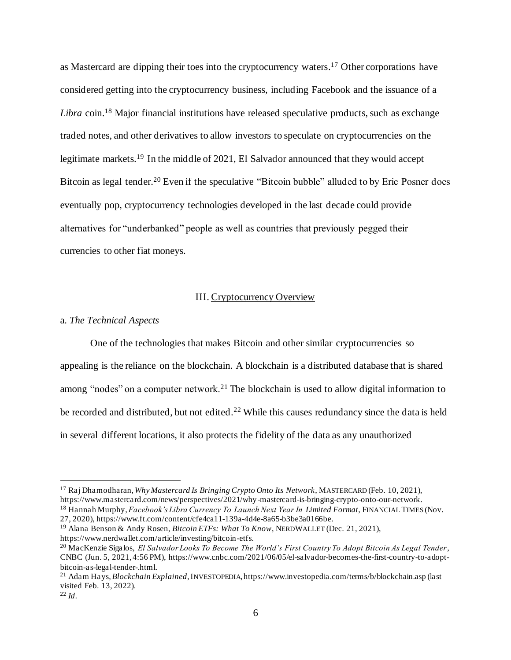as Mastercard are dipping their toes into the cryptocurrency waters.<sup>17</sup> Other corporations have considered getting into the cryptocurrency business, including Facebook and the issuance of a *Libra* coin.<sup>18</sup> Major financial institutions have released speculative products, such as exchange traded notes, and other derivatives to allow investors to speculate on cryptocurrencies on the legitimate markets.<sup>19</sup> In the middle of 2021, El Salvador announced that they would accept Bitcoin as legal tender.<sup>20</sup> Even if the speculative "Bitcoin bubble" alluded to by Eric Posner does eventually pop, cryptocurrency technologies developed in the last decade could provide alternatives for "underbanked" people as well as countries that previously pegged their currencies to other fiat moneys.

#### III. Cryptocurrency Overview

#### a. *The Technical Aspects*

One of the technologies that makes Bitcoin and other similar cryptocurrencies so appealing is the reliance on the blockchain. A blockchain is a distributed database that is shared among "nodes" on a computer network.<sup>21</sup> The blockchain is used to allow digital information to be recorded and distributed, but not edited.<sup>22</sup> While this causes redundancy since the data is held in several different locations, it also protects the fidelity of the data as any unauthorized

<sup>17</sup> Raj Dhamodharan, *Why Mastercard Is Bringing Crypto Onto Its Network*, MASTERCARD (Feb. 10, 2021), https://www.mastercard.com/news/perspectives/2021/why-mastercard-is-bringing-crypto-onto-our-network. <sup>18</sup> Hannah Murphy, *Facebook's Libra Currency To Launch Next Year In Limited Format*, FINANCIAL TIMES (Nov.

<sup>27, 2020),</sup> https://www.ft.com/content/cfe4ca11-139a-4d4e-8a65-b3be3a0166be.

<sup>19</sup> Alana Benson & Andy Rosen, *Bitcoin ETFs: What To Know*, NERDWALLET (Dec. 21, 2021), https://www.nerdwallet.com/article/investing/bitcoin-etfs.

<sup>20</sup> MacKenzie Sigalos, *El Salvador Looks To Become The World's First Country To Adopt Bitcoin As Legal Tender*, CNBC (Jun. 5, 2021, 4:56 PM), https://www.cnbc.com/2021/06/05/el-salvador-becomes-the-first-country-to-adoptbitcoin-as-legal-tender-.html.

<sup>21</sup> Adam Hays, *Blockchain Explained*, INVESTOPEDIA, https://www.investopedia.com/terms/b/blockchain.asp (last visited Feb. 13, 2022).

<sup>22</sup> *Id*.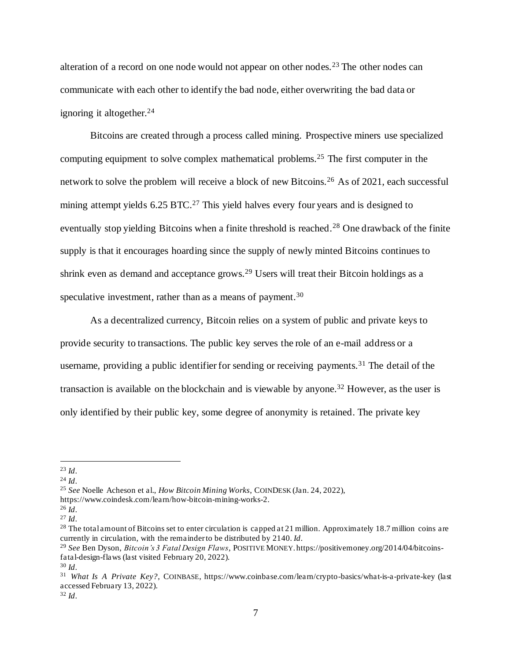alteration of a record on one node would not appear on other nodes.<sup>23</sup> The other nodes can communicate with each other to identify the bad node, either overwriting the bad data or ignoring it altogether. $24$ 

Bitcoins are created through a process called mining. Prospective miners use specialized computing equipment to solve complex mathematical problems.<sup>25</sup> The first computer in the network to solve the problem will receive a block of new Bitcoins.<sup>26</sup> As of 2021, each successful mining attempt yields  $6.25$  BTC.<sup>27</sup> This yield halves every four years and is designed to eventually stop yielding Bitcoins when a finite threshold is reached.<sup>28</sup> One drawback of the finite supply is that it encourages hoarding since the supply of newly minted Bitcoins continues to shrink even as demand and acceptance grows.<sup>29</sup> Users will treat their Bitcoin holdings as a speculative investment, rather than as a means of payment.<sup>30</sup>

As a decentralized currency, Bitcoin relies on a system of public and private keys to provide security to transactions. The public key serves the role of an e-mail address or a username, providing a public identifier for sending or receiving payments.<sup>31</sup> The detail of the transaction is available on the blockchain and is viewable by anyone.<sup>32</sup> However, as the user is only identified by their public key, some degree of anonymity is retained. The private key

<sup>25</sup> *See* Noelle Acheson et al., *How Bitcoin Mining Works*, COINDESK (Jan. 24, 2022),

<sup>32</sup> *Id*.

<sup>23</sup> *Id*.

<sup>24</sup> *Id*.

https://www.coindesk.com/learn/how-bitcoin-mining-works-2.

<sup>26</sup> *Id*.

<sup>27</sup> *Id*.

<sup>&</sup>lt;sup>28</sup> The total amount of Bitcoins set to enter circulation is capped at 21 million. Approximately 18.7 million coins are currently in circulation, with the remainder to be distributed by 2140. *Id*.

<sup>29</sup> *See* Ben Dyson, *Bitcoin's 3 Fatal Design Flaws*, POSITIVE MONEY. https://positivemoney.org/2014/04/bitcoinsfatal-design-flaws (last visited February 20, 2022). <sup>30</sup> *Id*.

<sup>31</sup> *What Is A Private Key?*, COINBASE, https://www.coinbase.com/learn/crypto-basics/what-is-a-private-key (last accessed February 13, 2022).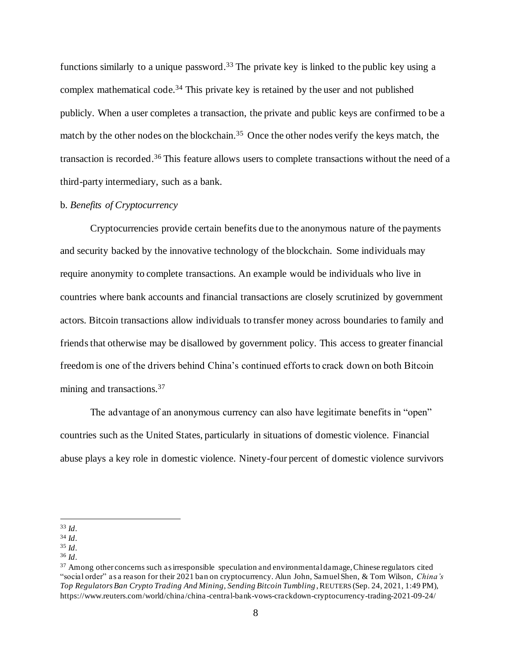functions similarly to a unique password.<sup>33</sup> The private key is linked to the public key using a complex mathematical code.<sup>34</sup> This private key is retained by the user and not published publicly. When a user completes a transaction, the private and public keys are confirmed to be a match by the other nodes on the blockchain.<sup>35</sup> Once the other nodes verify the keys match, the transaction is recorded.<sup>36</sup> This feature allows users to complete transactions without the need of a third-party intermediary, such as a bank.

#### b. *Benefits of Cryptocurrency*

Cryptocurrencies provide certain benefits due to the anonymous nature of the payments and security backed by the innovative technology of the blockchain. Some individuals may require anonymity to complete transactions. An example would be individuals who live in countries where bank accounts and financial transactions are closely scrutinized by government actors. Bitcoin transactions allow individuals to transfer money across boundaries to family and friends that otherwise may be disallowed by government policy. This access to greater financial freedom is one of the drivers behind China's continued efforts to crack down on both Bitcoin mining and transactions.<sup>37</sup>

The advantage of an anonymous currency can also have legitimate benefits in "open" countries such as the United States, particularly in situations of domestic violence. Financial abuse plays a key role in domestic violence. Ninety-four percent of domestic violence survivors

<sup>33</sup> *Id*.

<sup>34</sup> *Id*.

<sup>35</sup> *Id*.

<sup>36</sup> *Id*.

<sup>&</sup>lt;sup>37</sup> Among other concerns such as irresponsible speculation and environmental damage, Chinese regulators cited "social order" as a reason for their 2021 ban on cryptocurrency. Alun John, Samuel Shen, & Tom Wilson, *China's Top Regulators Ban Crypto Trading And Mining, Sending Bitcoin Tumbling* , REUTERS (Sep. 24, 2021, 1:49 PM), https://www.reuters.com/world/china/china -central-bank-vows-crackdown-cryptocurrency-trading-2021-09-24/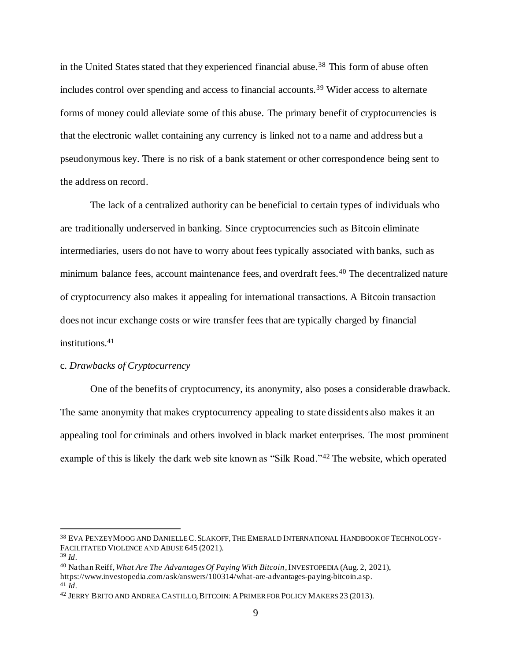in the United States stated that they experienced financial abuse.<sup>38</sup> This form of abuse often includes control over spending and access to financial accounts.<sup>39</sup> Wider access to alternate forms of money could alleviate some of this abuse. The primary benefit of cryptocurrencies is that the electronic wallet containing any currency is linked not to a name and address but a pseudonymous key. There is no risk of a bank statement or other correspondence being sent to the address on record.

The lack of a centralized authority can be beneficial to certain types of individuals who are traditionally underserved in banking. Since cryptocurrencies such as Bitcoin eliminate intermediaries, users do not have to worry about fees typically associated with banks, such as minimum balance fees, account maintenance fees, and overdraft fees.<sup>40</sup> The decentralized nature of cryptocurrency also makes it appealing for international transactions. A Bitcoin transaction does not incur exchange costs or wire transfer fees that are typically charged by financial institutions.<sup>41</sup>

## c. *Drawbacks of Cryptocurrency*

One of the benefits of cryptocurrency, its anonymity, also poses a considerable drawback. The same anonymity that makes cryptocurrency appealing to state dissidents also makes it an appealing tool for criminals and others involved in black market enterprises. The most prominent example of this is likely the dark web site known as "Silk Road."<sup>42</sup> The website, which operated

<sup>38</sup> EVA PENZEYMOOG AND DANIELLE C.SLAKOFF, THE EMERALD INTERNATIONAL HANDBOOK OF TECHNOLOGY-FACILITATED VIOLENCE AND ABUSE 645 (2021).

<sup>39</sup> *Id*.

<sup>40</sup> Nathan Reiff, *What Are The Advantages Of Paying With Bitcoin*, INVESTOPEDIA (Aug. 2, 2021), https://www.investopedia.com/ask/answers/100314/what-are-advantages-paying-bitcoin.asp.

<sup>41</sup> *Id*.

<sup>42</sup> JERRY BRITO AND ANDREA CASTILLO, BITCOIN: APRIMER FOR POLICY MAKERS 23 (2013).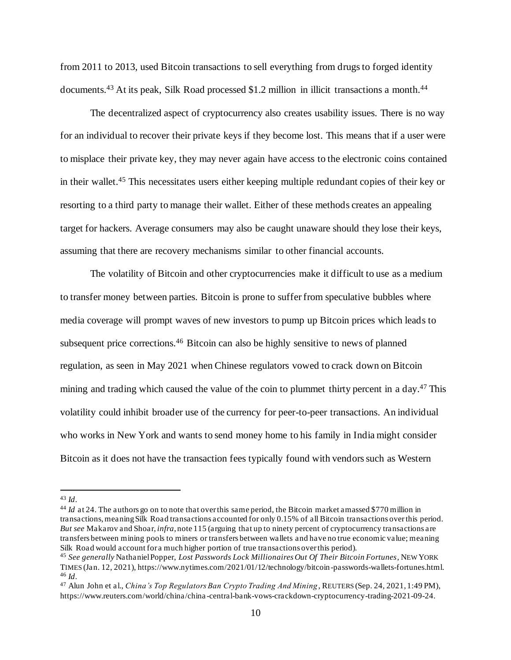from 2011 to 2013, used Bitcoin transactions to sell everything from drugs to forged identity documents.<sup>43</sup> At its peak, Silk Road processed \$1.2 million in illicit transactions a month.<sup>44</sup>

The decentralized aspect of cryptocurrency also creates usability issues. There is no way for an individual to recover their private keys if they become lost. This means that if a user were to misplace their private key, they may never again have access to the electronic coins contained in their wallet.<sup>45</sup> This necessitates users either keeping multiple redundant copies of their key or resorting to a third party to manage their wallet. Either of these methods creates an appealing target for hackers. Average consumers may also be caught unaware should they lose their keys, assuming that there are recovery mechanisms similar to other financial accounts.

The volatility of Bitcoin and other cryptocurrencies make it difficult to use as a medium to transfer money between parties. Bitcoin is prone to suffer from speculative bubbles where media coverage will prompt waves of new investors to pump up Bitcoin prices which leads to subsequent price corrections.<sup>46</sup> Bitcoin can also be highly sensitive to news of planned regulation, as seen in May 2021 when Chinese regulators vowed to crack down on Bitcoin mining and trading which caused the value of the coin to plummet thirty percent in a day.<sup>47</sup> This volatility could inhibit broader use of the currency for peer-to-peer transactions. An individual who works in New York and wants to send money home to his family in India might consider Bitcoin as it does not have the transaction fees typically found with vendors such as Western

<sup>43</sup> *Id*.

<sup>&</sup>lt;sup>44</sup> *Id* at 24. The authors go on to note that over this same period, the Bitcoin market amassed \$770 million in transactions, meaning Silk Road transactions accounted for only 0.15% of all Bitcoin transactions over this period. *But see* Makarov and Shoar, *infra*, note 115 (arguing that up to ninety percent of cryptocurrency transactions are transfers between mining pools to miners or transfers between wallets and have no true economic value; meaning Silk Road would account for a much higher portion of true transactions over this period).

<sup>45</sup> *See generally* Nathaniel Popper, *Lost Passwords Lock Millionaires Out Of Their Bitcoin Fortunes*, NEW YORK TIMES (Jan. 12, 2021), https://www.nytimes.com/2021/01/12/technology/bitcoin-passwords-wallets-fortunes.html. <sup>46</sup> *Id*.

<sup>47</sup> Alun John et al., *China's Top Regulators Ban Crypto Trading And Mining*, REUTERS (Sep. 24, 2021, 1:49 PM), https://www.reuters.com/world/china/china -central-bank-vows-crackdown-cryptocurrency-trading-2021-09-24.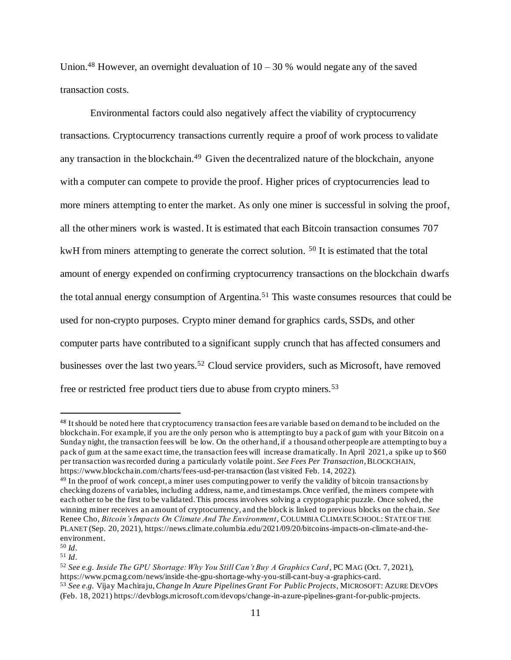Union.<sup>48</sup> However, an overnight devaluation of  $10 - 30$  % would negate any of the saved transaction costs.

Environmental factors could also negatively affect the viability of cryptocurrency transactions. Cryptocurrency transactions currently require a proof of work process to validate any transaction in the blockchain.<sup>49</sup> Given the decentralized nature of the blockchain, anyone with a computer can compete to provide the proof. Higher prices of cryptocurrencies lead to more miners attempting to enter the market. As only one miner is successful in solving the proof, all the other miners work is wasted. It is estimated that each Bitcoin transaction consumes 707 kwH from miners attempting to generate the correct solution. <sup>50</sup> It is estimated that the total amount of energy expended on confirming cryptocurrency transactions on the blockchain dwarfs the total annual energy consumption of Argentina.<sup>51</sup> This waste consumes resources that could be used for non-crypto purposes. Crypto miner demand for graphics cards, SSDs, and other computer parts have contributed to a significant supply crunch that has affected consumers and businesses over the last two years.<sup>52</sup> Cloud service providers, such as Microsoft, have removed free or restricted free product tiers due to abuse from crypto miners.<sup>53</sup>

<sup>48</sup> It should be noted here that cryptocurrency transaction fees are variable based on demand to be included on the blockchain. For example, if you are the only person who is attempting to buy a pack of gum with your Bitcoin on a Sunday night, the transaction fees will be low. On the other hand, if a thousand other people are attempting to buy a pack of gum at the same exact time, the transaction fees will increase dramatically. In April 2021, a spike up to \$60 per transaction was recorded during a particularly volatile point. *See Fees Per Transaction*, BLOCKCHAIN, https://www.blockchain.com/charts/fees-usd-per-transaction (last visited Feb. 14, 2022).

<sup>&</sup>lt;sup>49</sup> In the proof of work concept, a miner uses computing power to verify the validity of bitcoin transactions by checking dozens of variables, including address, name, and timestamps. Once verified, the miners compete with each other to be the first to be validated. This process involves solving a cryptographic puzzle. Once solved, the winning miner receives an amount of cryptocurrency, and the block is linked to previous blocks on the chain. *See* Renee Cho, *Bitcoin's Impacts On Climate And The Environment*, COLUMBIA CLIMATE SCHOOL: STATE OF THE PLANET (Sep. 20, 2021), https://news.climate.columbia.edu/2021/09/20/bitcoins-impacts-on-climate-and-theenvironment.

<sup>50</sup> *Id*.

<sup>51</sup> *Id*.

<sup>52</sup> *See e.g. Inside The GPU Shortage: Why You Still Can't Buy A Graphics Card*, PC MAG (Oct. 7, 2021), https://www.pcmag.com/news/inside-the-gpu-shortage-why-you-still-cant-buy-a-graphics-card. <sup>53</sup> *See e.g.* Vijay Machiraju, *Change In Azure Pipelines Grant For Public Projects*, MICROSOFT: AZURE DEVOPS (Feb. 18, 2021) https://devblogs.microsoft.com/devops/change-in-azure-pipelines-grant-for-public-projects.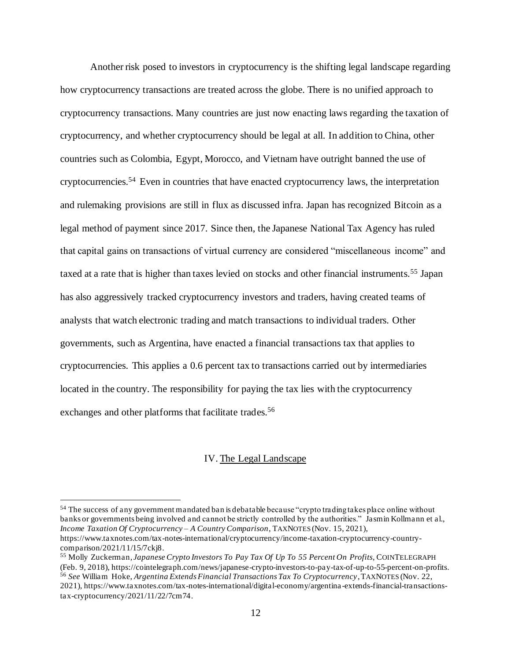Another risk posed to investors in cryptocurrency is the shifting legal landscape regarding how cryptocurrency transactions are treated across the globe. There is no unified approach to cryptocurrency transactions. Many countries are just now enacting laws regarding the taxation of cryptocurrency, and whether cryptocurrency should be legal at all. In addition to China, other countries such as Colombia, Egypt, Morocco, and Vietnam have outright banned the use of cryptocurrencies.<sup>54</sup> Even in countries that have enacted cryptocurrency laws, the interpretation and rulemaking provisions are still in flux as discussed infra. Japan has recognized Bitcoin as a legal method of payment since 2017. Since then, the Japanese National Tax Agency has ruled that capital gains on transactions of virtual currency are considered "miscellaneous income" and taxed at a rate that is higher than taxes levied on stocks and other financial instruments.<sup>55</sup> Japan has also aggressively tracked cryptocurrency investors and traders, having created teams of analysts that watch electronic trading and match transactions to individual traders. Other governments, such as Argentina, have enacted a financial transactions tax that applies to cryptocurrencies. This applies a 0.6 percent tax to transactions carried out by intermediaries located in the country. The responsibility for paying the tax lies with the cryptocurrency exchanges and other platforms that facilitate trades.<sup>56</sup>

## IV. The Legal Landscape

<sup>54</sup> The success of any government mandated ban is debatable because "crypto trading takes place online without banks or governments being involved and cannot be strictly controlled by the authorities." Jasmin Kollmann et al., *Income Taxation Of Cryptocurrency – A Country Comparison*, TAXNOTES (Nov. 15, 2021),

https://www.taxnotes.com/tax-notes-international/cryptocurrency/income-taxation-cryptocurrency-countrycomparison/2021/11/15/7ckj8.

<sup>55</sup> Molly Zuckerman*, Japanese Crypto Investors To Pay Tax Of Up To 55 Percent On Profits*, COINTELEGRAPH (Feb. 9, 2018), https://cointelegraph.com/news/japanese-crypto-investors-to-pay-tax-of-up-to-55-percent-on-profits. <sup>56</sup> *See* William Hoke, *Argentina Extends Financial Transactions Tax To Cryptocurrency*, TAXNOTES (Nov. 22, 2021), https://www.taxnotes.com/tax-notes-international/digital-economy/argentina -extends-financial-transactionstax-cryptocurrency/2021/11/22/7cm74.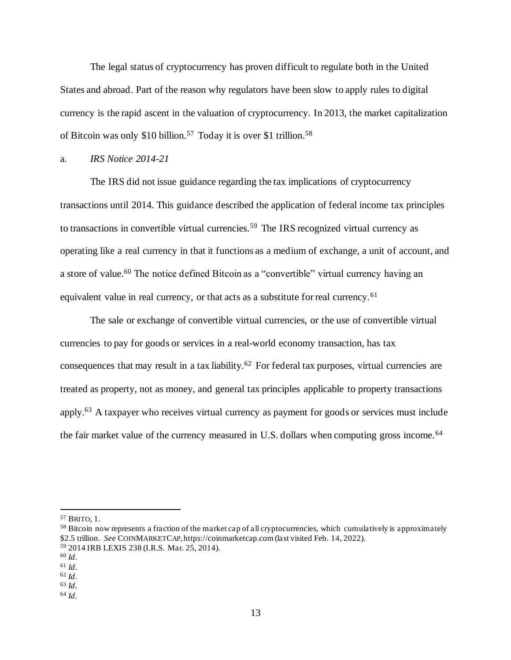The legal status of cryptocurrency has proven difficult to regulate both in the United States and abroad. Part of the reason why regulators have been slow to apply rules to digital currency is the rapid ascent in the valuation of cryptocurrency. In 2013, the market capitalization of Bitcoin was only \$10 billion.<sup>57</sup> Today it is over \$1 trillion.<sup>58</sup>

#### a. *IRS Notice 2014-21*

The IRS did not issue guidance regarding the tax implications of cryptocurrency transactions until 2014. This guidance described the application of federal income tax principles to transactions in convertible virtual currencies.<sup>59</sup> The IRS recognized virtual currency as operating like a real currency in that it functions as a medium of exchange, a unit of account, and a store of value.<sup>60</sup> The notice defined Bitcoin as a "convertible" virtual currency having an equivalent value in real currency, or that acts as a substitute for real currency.<sup>61</sup>

The sale or exchange of convertible virtual currencies, or the use of convertible virtual currencies to pay for goods or services in a real-world economy transaction, has tax consequences that may result in a tax liability.<sup>62</sup> For federal tax purposes, virtual currencies are treated as property, not as money, and general tax principles applicable to property transactions apply.<sup>63</sup> A taxpayer who receives virtual currency as payment for goods or services must include the fair market value of the currency measured in U.S. dollars when computing gross income.<sup>64</sup>

<sup>57</sup> BRITO, 1.

<sup>&</sup>lt;sup>58</sup> Bitcoin now represents a fraction of the market cap of all cryptocurrencies, which cumulatively is approximately \$2.5 trillion. *See* COINMARKETCAP, https://coinmarketcap.com (last visited Feb. 14, 2022).

<sup>59</sup> 2014 IRB LEXIS 238 (I.R.S. Mar. 25, 2014).

<sup>60</sup> *Id*.

<sup>61</sup> *Id*.

<sup>62</sup> *Id*. <sup>63</sup> *Id*.

<sup>64</sup> *Id*.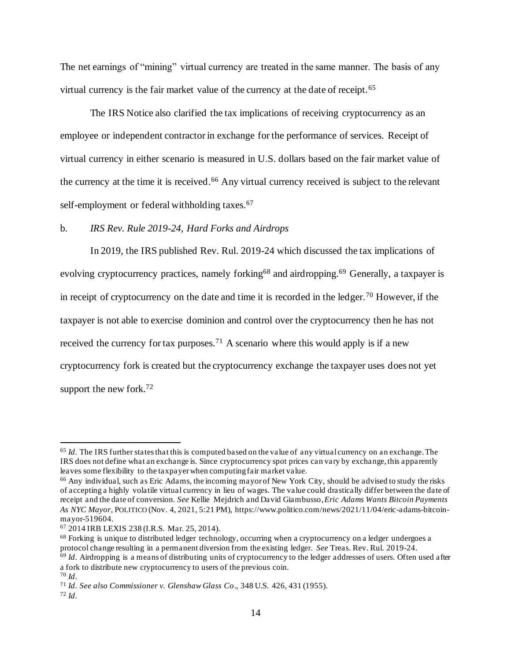The net earnings of "mining" virtual currency are treated in the same manner. The basis of any virtual currency is the fair market value of the currency at the date of receipt.<sup>65</sup>

The IRS Notice also clarified the tax implications of receiving cryptocurrency as an employee or independent contractor in exchange for the performance of services. Receipt of virtual currency in either scenario is measured in U.S. dollars based on the fair market value of the currency at the time it is received.<sup>66</sup> Any virtual currency received is subject to the relevant self-employment or federal withholding taxes.<sup>67</sup>

## b. *IRS Rev. Rule 2019-24, Hard Forks and Airdrops*

In 2019, the IRS published Rev. Rul. 2019-24 which discussed the tax implications of evolving cryptocurrency practices, namely forking<sup>68</sup> and airdropping.<sup>69</sup> Generally, a taxpayer is in receipt of cryptocurrency on the date and time it is recorded in the ledger.<sup>70</sup> However, if the taxpayer is not able to exercise dominion and control over the cryptocurrency then he has not received the currency for tax purposes.<sup>71</sup> A scenario where this would apply is if a new cryptocurrency fork is created but the cryptocurrency exchange the taxpayer uses does not yet support the new fork.<sup>72</sup>

<sup>65</sup> *Id*. The IRS further states that this is computed based on the value of any virtual currency on an exchange. The IRS does not define what an exchange is. Since cryptocurrency spot prices can vary by exchange, this apparently leaves some flexibility to the taxpayer when computing fair market value.

<sup>66</sup> Any individual, such as Eric Adams, the incoming mayor of New York City, should be advised to study the risks of accepting a highly volatile virtual currency in lieu of wages. The value could drastically differ between the date of receipt and the date of conversion. *See* Kellie Mejdrich and David Giambusso*, Eric Adams Wants Bitcoin Payments As NYC Mayor*, POLITICO (Nov. 4, 2021, 5:21 PM), https://www.politico.com/news/2021/11/04/eric-adams-bitcoinmayor-519604.

<sup>67</sup> 2014 IRB LEXIS 238 (I.R.S. Mar. 25, 2014).

<sup>&</sup>lt;sup>68</sup> Forking is unique to distributed ledger technology, occurring when a cryptocurrency on a ledger undergoes a protocol change resulting in a permanent diversion from the existing ledger. *See* Treas. Rev. Rul. 2019-24.

<sup>&</sup>lt;sup>69</sup> *Id*. Airdropping is a means of distributing units of cryptocurrency to the ledger addresses of users. Often used after a fork to distribute new cryptocurrency to users of the previous coin.

<sup>70</sup> *Id*.

<sup>71</sup> *Id*. *See also Commissioner v. Glenshaw Glass Co*., 348 U.S. 426, 431 (1955).

<sup>72</sup> *Id*.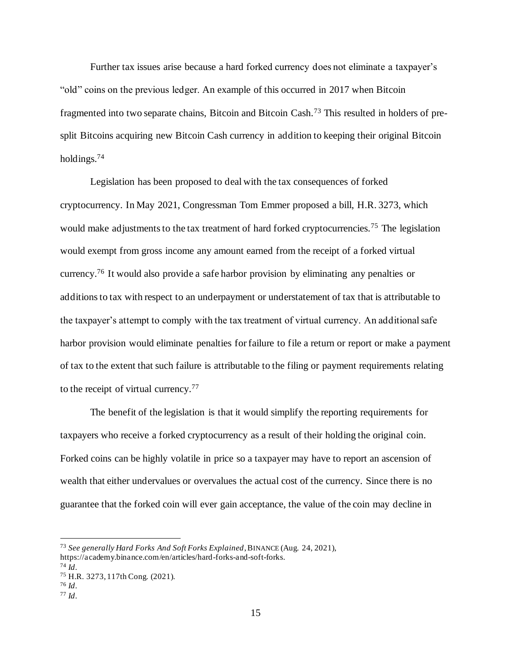Further tax issues arise because a hard forked currency does not eliminate a taxpayer's "old" coins on the previous ledger. An example of this occurred in 2017 when Bitcoin fragmented into two separate chains, Bitcoin and Bitcoin Cash.<sup>73</sup> This resulted in holders of presplit Bitcoins acquiring new Bitcoin Cash currency in addition to keeping their original Bitcoin holdings.<sup>74</sup>

Legislation has been proposed to deal with the tax consequences of forked cryptocurrency. In May 2021, Congressman Tom Emmer proposed a bill, H.R. 3273, which would make adjustments to the tax treatment of hard forked cryptocurrencies.<sup>75</sup> The legislation would exempt from gross income any amount earned from the receipt of a forked virtual currency.<sup>76</sup> It would also provide a safe harbor provision by eliminating any penalties or additions to tax with respect to an underpayment or understatement of tax that is attributable to the taxpayer's attempt to comply with the tax treatment of virtual currency. An additional safe harbor provision would eliminate penalties for failure to file a return or report or make a payment of tax to the extent that such failure is attributable to the filing or payment requirements relating to the receipt of virtual currency.<sup>77</sup>

The benefit of the legislation is that it would simplify the reporting requirements for taxpayers who receive a forked cryptocurrency as a result of their holding the original coin. Forked coins can be highly volatile in price so a taxpayer may have to report an ascension of wealth that either undervalues or overvalues the actual cost of the currency. Since there is no guarantee that the forked coin will ever gain acceptance, the value of the coin may decline in

<sup>73</sup> *See generally Hard Forks And Soft Forks Explained*, BINANCE (Aug. 24, 2021), https://academy.binance.com/en/articles/hard-forks-and-soft-forks.

<sup>74</sup> *Id*.

<sup>75</sup> H.R. 3273, 117th Cong. (2021).

<sup>76</sup> *Id*.

<sup>77</sup> *Id*.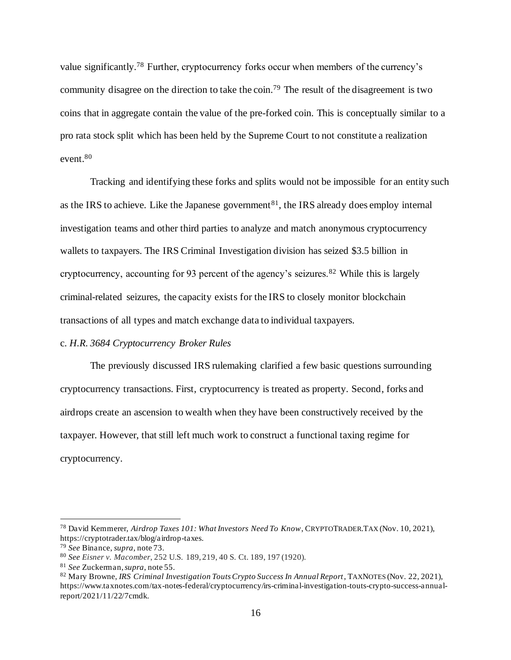value significantly.<sup>78</sup> Further, cryptocurrency forks occur when members of the currency's community disagree on the direction to take the coin.<sup>79</sup> The result of the disagreement is two coins that in aggregate contain the value of the pre-forked coin. This is conceptually similar to a pro rata stock split which has been held by the Supreme Court to not constitute a realization event.<sup>80</sup>

Tracking and identifying these forks and splits would not be impossible for an entity such as the IRS to achieve. Like the Japanese government<sup>81</sup>, the IRS already does employ internal investigation teams and other third parties to analyze and match anonymous cryptocurrency wallets to taxpayers. The IRS Criminal Investigation division has seized \$3.5 billion in cryptocurrency, accounting for 93 percent of the agency's seizures.<sup>82</sup> While this is largely criminal-related seizures, the capacity exists for the IRS to closely monitor blockchain transactions of all types and match exchange data to individual taxpayers.

## c. *H.R. 3684 Cryptocurrency Broker Rules*

The previously discussed IRS rulemaking clarified a few basic questions surrounding cryptocurrency transactions. First, cryptocurrency is treated as property. Second, forks and airdrops create an ascension to wealth when they have been constructively received by the taxpayer. However, that still left much work to construct a functional taxing regime for cryptocurrency.

<sup>78</sup> David Kemmerer, *Airdrop Taxes 101: What Investors Need To Know*, CRYPTOTRADER.TAX (Nov. 10, 2021), https://cryptotrader.tax/blog/airdrop-taxes.

<sup>79</sup> *See* Binance, *supra*, note 73.

<sup>80</sup> *See Eisner v. Macomber*, 252 U.S. 189, 219, 40 S. Ct. 189, 197 (1920).

<sup>81</sup> *See* Zuckerman,*supra*, note 55.

<sup>82</sup> Mary Browne, *IRS Criminal Investigation Touts Crypto Success In Annual Report*, TAXNOTES (Nov. 22, 2021), https://www.taxnotes.com/tax-notes-federal/cryptocurrency/irs-criminal-investigation-touts-crypto-success-annualreport/2021/11/22/7cmdk.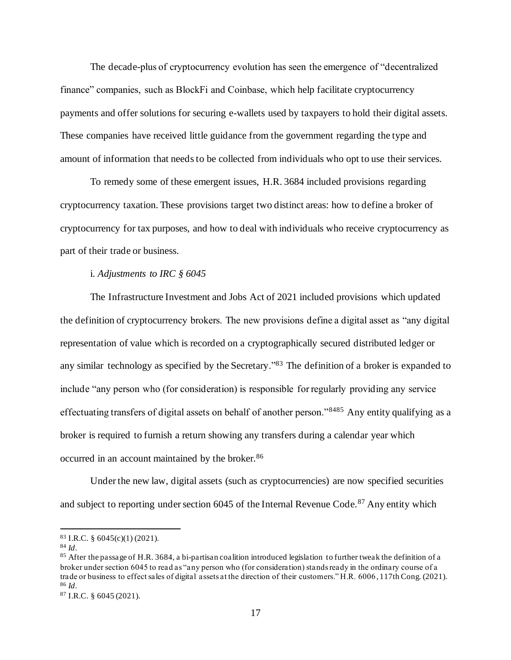The decade-plus of cryptocurrency evolution has seen the emergence of "decentralized finance" companies, such as BlockFi and Coinbase, which help facilitate cryptocurrency payments and offer solutions for securing e-wallets used by taxpayers to hold their digital assets. These companies have received little guidance from the government regarding the type and amount of information that needs to be collected from individuals who opt to use their services.

To remedy some of these emergent issues, H.R. 3684 included provisions regarding cryptocurrency taxation. These provisions target two distinct areas: how to define a broker of cryptocurrency for tax purposes, and how to deal with individuals who receive cryptocurrency as part of their trade or business.

#### i. *Adjustments to IRC § 6045*

The Infrastructure Investment and Jobs Act of 2021 included provisions which updated the definition of cryptocurrency brokers. The new provisions define a digital asset as "any digital representation of value which is recorded on a cryptographically secured distributed ledger or any similar technology as specified by the Secretary."<sup>83</sup> The definition of a broker is expanded to include "any person who (for consideration) is responsible for regularly providing any service effectuating transfers of digital assets on behalf of another person."<sup>8485</sup> Any entity qualifying as a broker is required to furnish a return showing any transfers during a calendar year which occurred in an account maintained by the broker.<sup>86</sup>

Under the new law, digital assets (such as cryptocurrencies) are now specified securities and subject to reporting under section 6045 of the Internal Revenue Code.<sup>87</sup> Any entity which

 $83$  I.R.C. § 6045(c)(1) (2021).

<sup>84</sup> *Id*.

<sup>&</sup>lt;sup>85</sup> After the passage of H.R. 3684, a bi-partisan coalition introduced legislation to further tweak the definition of a broker under section 6045 to read as "any person who (for consideration) stands ready in the ordinary course of a trade or business to effect sales of digital assets at the direction of their customers." H.R. 6006 , 117th Cong. (2021). <sup>86</sup> *Id*.

<sup>87</sup> I.R.C. § 6045 (2021).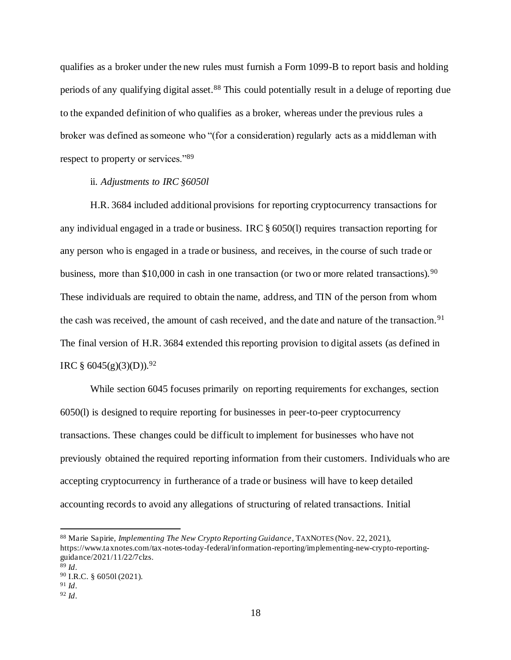qualifies as a broker under the new rules must furnish a Form 1099-B to report basis and holding periods of any qualifying digital asset.<sup>88</sup> This could potentially result in a deluge of reporting due to the expanded definition of who qualifies as a broker, whereas under the previous rules a broker was defined as someone who "(for a consideration) regularly acts as a middleman with respect to property or services."<sup>89</sup>

#### ii. *Adjustments to IRC §6050l*

H.R. 3684 included additional provisions for reporting cryptocurrency transactions for any individual engaged in a trade or business. IRC § 6050(l) requires transaction reporting for any person who is engaged in a trade or business, and receives, in the course of such trade or business, more than \$10,000 in cash in one transaction (or two or more related transactions).<sup>90</sup> These individuals are required to obtain the name, address, and TIN of the person from whom the cash was received, the amount of cash received, and the date and nature of the transaction.<sup>91</sup> The final version of H.R. 3684 extended this reporting provision to digital assets (as defined in IRC §  $6045(g)(3)(D)$ .<sup>92</sup>

While section 6045 focuses primarily on reporting requirements for exchanges, section 6050(l) is designed to require reporting for businesses in peer-to-peer cryptocurrency transactions. These changes could be difficult to implement for businesses who have not previously obtained the required reporting information from their customers. Individuals who are accepting cryptocurrency in furtherance of a trade or business will have to keep detailed accounting records to avoid any allegations of structuring of related transactions. Initial

<sup>88</sup> Marie Sapirie, *Implementing The New Crypto Reporting Guidance*, TAXNOTES (Nov. 22, 2021), https://www.taxnotes.com/tax-notes-today-federal/information-reporting/implementing-new-crypto-reportingguidance/2021/11/22/7clzs.  $89$  *Id.* 

<sup>90</sup> I.R.C. § 6050l (2021).

<sup>91</sup> *Id*.

<sup>92</sup> *Id*.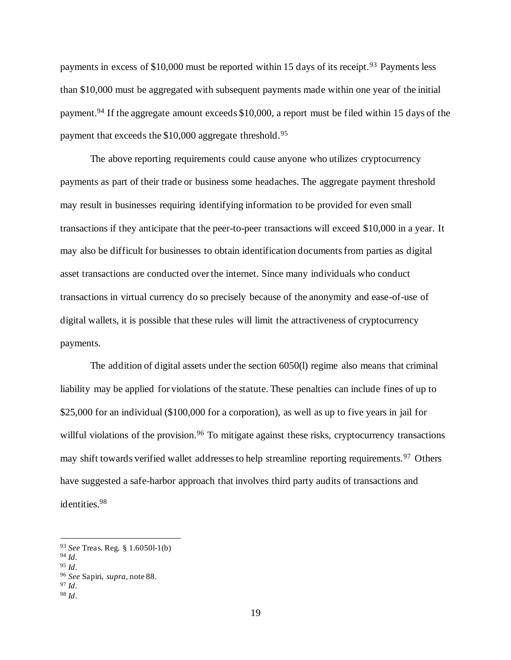payments in excess of  $$10,000$  must be reported within 15 days of its receipt.<sup>93</sup> Payments less than \$10,000 must be aggregated with subsequent payments made within one year of the initial payment.<sup>94</sup> If the aggregate amount exceeds \$10,000, a report must be filed within 15 days of the payment that exceeds the \$10,000 aggregate threshold.<sup>95</sup>

The above reporting requirements could cause anyone who utilizes cryptocurrency payments as part of their trade or business some headaches. The aggregate payment threshold may result in businesses requiring identifying information to be provided for even small transactions if they anticipate that the peer-to-peer transactions will exceed \$10,000 in a year. It may also be difficult for businesses to obtain identification documents from parties as digital asset transactions are conducted over the internet. Since many individuals who conduct transactions in virtual currency do so precisely because of the anonymity and ease-of-use of digital wallets, it is possible that these rules will limit the attractiveness of cryptocurrency payments.

The addition of digital assets under the section 6050(l) regime also means that criminal liability may be applied for violations of the statute. These penalties can include fines of up to \$25,000 for an individual (\$100,000 for a corporation), as well as up to five years in jail for willful violations of the provision.<sup>96</sup> To mitigate against these risks, cryptocurrency transactions may shift towards verified wallet addresses to help streamline reporting requirements.<sup>97</sup> Others have suggested a safe-harbor approach that involves third party audits of transactions and identities.<sup>98</sup>

<sup>93</sup> *See* Treas. Reg. § 1.6050l-1(b)

<sup>94</sup> *Id*.

<sup>95</sup> *Id*.

<sup>96</sup> *See* Sapiri, *supra*, note 88.

<sup>97</sup> *Id*.

<sup>98</sup> *Id*.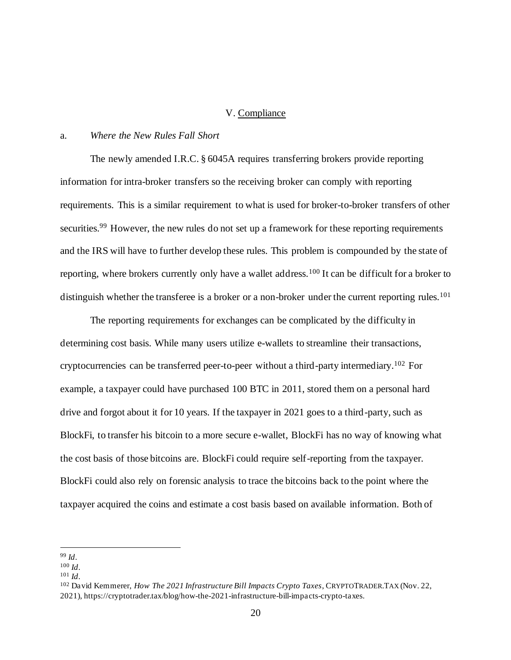#### V. Compliance

## a. *Where the New Rules Fall Short*

The newly amended I.R.C. § 6045A requires transferring brokers provide reporting information for intra-broker transfers so the receiving broker can comply with reporting requirements. This is a similar requirement to what is used for broker-to-broker transfers of other securities.<sup>99</sup> However, the new rules do not set up a framework for these reporting requirements and the IRS will have to further develop these rules. This problem is compounded by the state of reporting, where brokers currently only have a wallet address.<sup>100</sup> It can be difficult for a broker to distinguish whether the transferee is a broker or a non-broker under the current reporting rules.<sup>101</sup>

The reporting requirements for exchanges can be complicated by the difficulty in determining cost basis. While many users utilize e-wallets to streamline their transactions, cryptocurrencies can be transferred peer-to-peer without a third-party intermediary.<sup>102</sup> For example, a taxpayer could have purchased 100 BTC in 2011, stored them on a personal hard drive and forgot about it for 10 years. If the taxpayer in 2021 goes to a third-party, such as BlockFi, to transfer his bitcoin to a more secure e-wallet, BlockFi has no way of knowing what the cost basis of those bitcoins are. BlockFi could require self-reporting from the taxpayer. BlockFi could also rely on forensic analysis to trace the bitcoins back to the point where the taxpayer acquired the coins and estimate a cost basis based on available information. Both of

<sup>99</sup> *Id*.

<sup>100</sup> *Id*.

<sup>101</sup> *Id*.

<sup>102</sup> David Kemmerer, *How The 2021 Infrastructure Bill Impacts Crypto Taxes*, CRYPTOTRADER.TAX (Nov. 22, 2021), https://cryptotrader.tax/blog/how-the-2021-infrastructure-bill-impacts-crypto-taxes.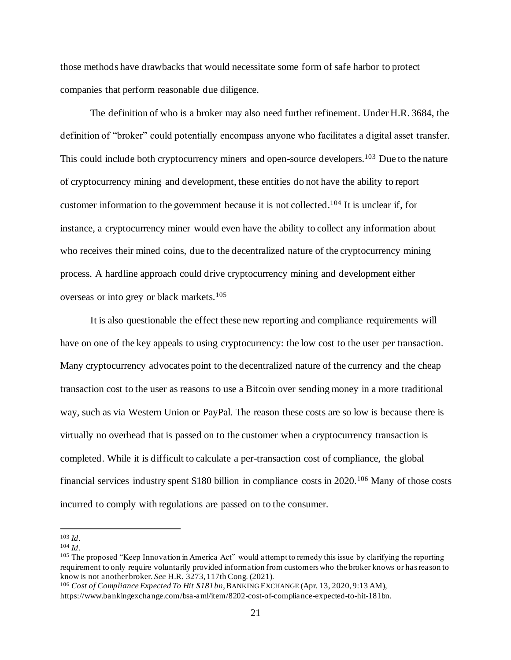those methods have drawbacks that would necessitate some form of safe harbor to protect companies that perform reasonable due diligence.

The definition of who is a broker may also need further refinement. Under H.R. 3684, the definition of "broker" could potentially encompass anyone who facilitates a digital asset transfer. This could include both cryptocurrency miners and open-source developers.<sup>103</sup> Due to the nature of cryptocurrency mining and development, these entities do not have the ability to report customer information to the government because it is not collected.<sup>104</sup> It is unclear if, for instance, a cryptocurrency miner would even have the ability to collect any information about who receives their mined coins, due to the decentralized nature of the cryptocurrency mining process. A hardline approach could drive cryptocurrency mining and development either overseas or into grey or black markets.<sup>105</sup>

It is also questionable the effect these new reporting and compliance requirements will have on one of the key appeals to using cryptocurrency: the low cost to the user per transaction. Many cryptocurrency advocates point to the decentralized nature of the currency and the cheap transaction cost to the user as reasons to use a Bitcoin over sending money in a more traditional way, such as via Western Union or PayPal. The reason these costs are so low is because there is virtually no overhead that is passed on to the customer when a cryptocurrency transaction is completed. While it is difficult to calculate a per-transaction cost of compliance, the global financial services industry spent \$180 billion in compliance costs in 2020.<sup>106</sup> Many of those costs incurred to comply with regulations are passed on to the consumer.

<sup>103</sup> *Id*.

 $104$  *Id*.

<sup>&</sup>lt;sup>105</sup> The proposed "Keep Innovation in America Act" would attempt to remedy this issue by clarifying the reporting requirement to only require voluntarily provided information from customers who the broker knows or has reason to know is not another broker. *See* H.R. 3273, 117th Cong. (2021).

<sup>106</sup> *Cost of Compliance Expected To Hit \$181bn*, BANKING EXCHANGE (Apr. 13, 2020, 9:13 AM), https://www.bankingexchange.com/bsa-aml/item/8202-cost-of-compliance-expected-to-hit-181bn.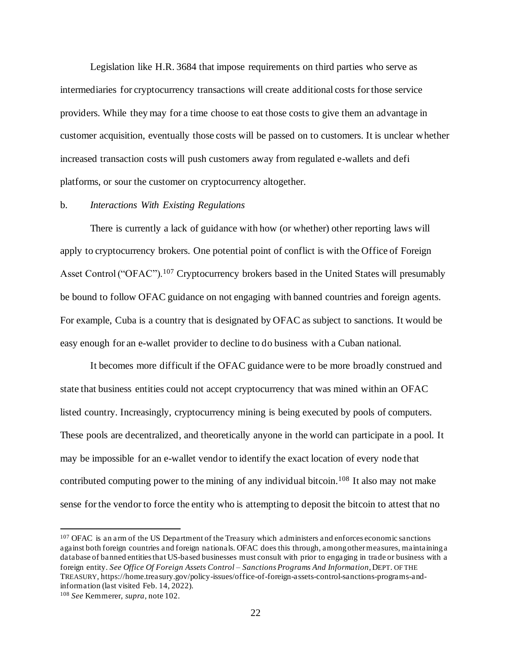Legislation like H.R. 3684 that impose requirements on third parties who serve as intermediaries for cryptocurrency transactions will create additional costs for those service providers. While they may for a time choose to eat those costs to give them an advantage in customer acquisition, eventually those costs will be passed on to customers. It is unclear whether increased transaction costs will push customers away from regulated e-wallets and defi platforms, or sour the customer on cryptocurrency altogether.

#### b. *Interactions With Existing Regulations*

There is currently a lack of guidance with how (or whether) other reporting laws will apply to cryptocurrency brokers. One potential point of conflict is with the Office of Foreign Asset Control ("OFAC").<sup>107</sup> Cryptocurrency brokers based in the United States will presumably be bound to follow OFAC guidance on not engaging with banned countries and foreign agents. For example, Cuba is a country that is designated by OFAC as subject to sanctions. It would be easy enough for an e-wallet provider to decline to do business with a Cuban national.

It becomes more difficult if the OFAC guidance were to be more broadly construed and state that business entities could not accept cryptocurrency that was mined within an OFAC listed country. Increasingly, cryptocurrency mining is being executed by pools of computers. These pools are decentralized, and theoretically anyone in the world can participate in a pool. It may be impossible for an e-wallet vendor to identify the exact location of every node that contributed computing power to the mining of any individual bitcoin.<sup>108</sup> It also may not make sense for the vendor to force the entity who is attempting to deposit the bitcoin to attest that no

<sup>&</sup>lt;sup>107</sup> OFAC is an arm of the US Department of the Treasury which administers and enforces economic sanctions against both foreign countries and foreign nationals. OFAC does this through, among other measures, maintaining a database of banned entities that US-based businesses must consult with prior to engaging in trade or business with a foreign entity. *See Office Of Foreign Assets Control – Sanctions Programs And Information*, DEPT. OF THE TREASURY, https://home.treasury.gov/policy-issues/office-of-foreign-assets-control-sanctions-programs-andinformation (last visited Feb. 14, 2022).

<sup>108</sup> *See* Kemmerer, *supra*, note 102.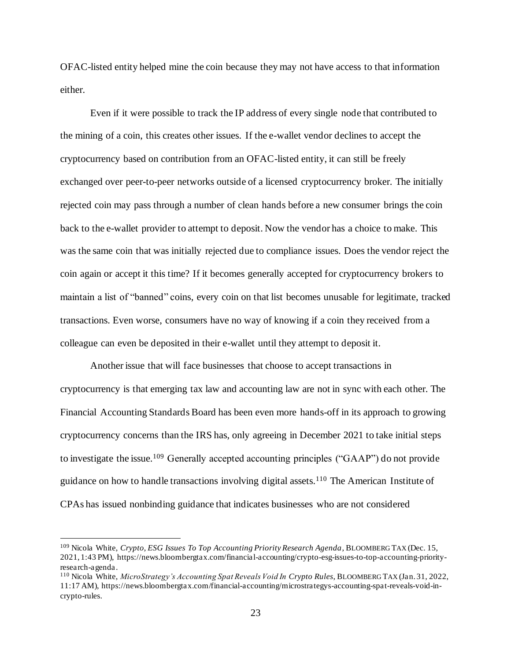OFAC-listed entity helped mine the coin because they may not have access to that information either.

Even if it were possible to track the IP address of every single node that contributed to the mining of a coin, this creates other issues. If the e-wallet vendor declines to accept the cryptocurrency based on contribution from an OFAC-listed entity, it can still be freely exchanged over peer-to-peer networks outside of a licensed cryptocurrency broker. The initially rejected coin may pass through a number of clean hands before a new consumer brings the coin back to the e-wallet provider to attempt to deposit. Now the vendor has a choice to make. This was the same coin that was initially rejected due to compliance issues. Does the vendor reject the coin again or accept it this time? If it becomes generally accepted for cryptocurrency brokers to maintain a list of "banned" coins, every coin on that list becomes unusable for legitimate, tracked transactions. Even worse, consumers have no way of knowing if a coin they received from a colleague can even be deposited in their e-wallet until they attempt to deposit it.

Another issue that will face businesses that choose to accept transactions in cryptocurrency is that emerging tax law and accounting law are not in sync with each other. The Financial Accounting Standards Board has been even more hands-off in its approach to growing cryptocurrency concerns than the IRS has, only agreeing in December 2021 to take initial steps to investigate the issue.<sup>109</sup> Generally accepted accounting principles ("GAAP") do not provide guidance on how to handle transactions involving digital assets.<sup>110</sup> The American Institute of CPAs has issued nonbinding guidance that indicates businesses who are not considered

<sup>109</sup> Nicola White, *Crypto, ESG Issues To Top Accounting Priority Research Agenda*, BLOOMBERG TAX (Dec. 15, 2021, 1:43 PM), https://news.bloombergtax.com/financial-accounting/crypto-esg-issues-to-top-accounting-priorityresearch-agenda.

<sup>110</sup> Nicola White, *MicroStrategy's Accounting Spat Reveals Void In Crypto Rules*, BLOOMBERG TAX (Jan. 31, 2022, 11:17 AM), https://news.bloombergtax.com/financial-accounting/microstrategys-accounting-spat-reveals-void-incrypto-rules.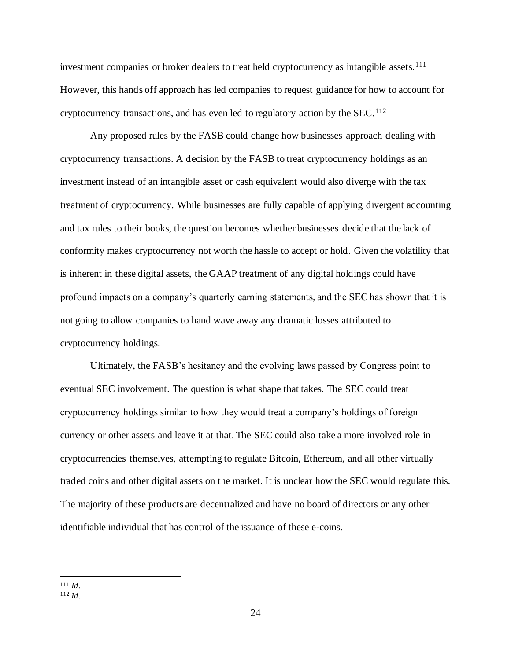investment companies or broker dealers to treat held cryptocurrency as intangible assets.<sup>111</sup> However, this hands off approach has led companies to request guidance for how to account for cryptocurrency transactions, and has even led to regulatory action by the  $SEC.112$ 

Any proposed rules by the FASB could change how businesses approach dealing with cryptocurrency transactions. A decision by the FASB to treat cryptocurrency holdings as an investment instead of an intangible asset or cash equivalent would also diverge with the tax treatment of cryptocurrency. While businesses are fully capable of applying divergent accounting and tax rules to their books, the question becomes whether businesses decide that the lack of conformity makes cryptocurrency not worth the hassle to accept or hold. Given the volatility that is inherent in these digital assets, the GAAP treatment of any digital holdings could have profound impacts on a company's quarterly earning statements, and the SEC has shown that it is not going to allow companies to hand wave away any dramatic losses attributed to cryptocurrency holdings.

Ultimately, the FASB's hesitancy and the evolving laws passed by Congress point to eventual SEC involvement. The question is what shape that takes. The SEC could treat cryptocurrency holdings similar to how they would treat a company's holdings of foreign currency or other assets and leave it at that. The SEC could also take a more involved role in cryptocurrencies themselves, attempting to regulate Bitcoin, Ethereum, and all other virtually traded coins and other digital assets on the market. It is unclear how the SEC would regulate this. The majority of these products are decentralized and have no board of directors or any other identifiable individual that has control of the issuance of these e-coins.

<sup>111</sup> *Id*.

<sup>112</sup> *Id*.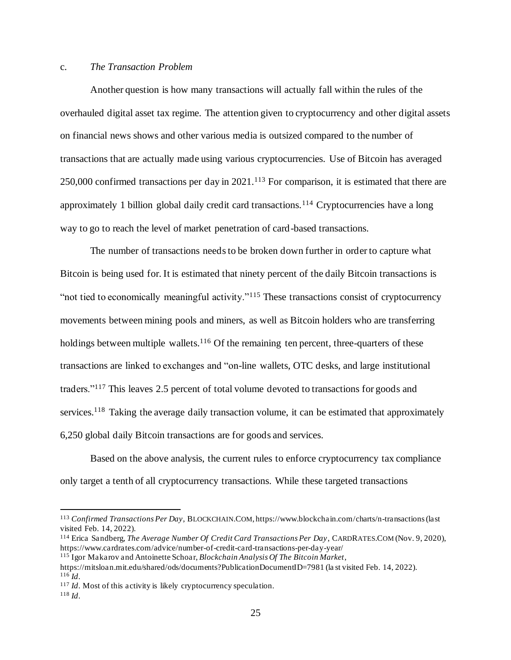#### c. *The Transaction Problem*

Another question is how many transactions will actually fall within the rules of the overhauled digital asset tax regime. The attention given to cryptocurrency and other digital assets on financial news shows and other various media is outsized compared to the number of transactions that are actually made using various cryptocurrencies. Use of Bitcoin has averaged 250,000 confirmed transactions per day in 2021.<sup>113</sup> For comparison, it is estimated that there are approximately 1 billion global daily credit card transactions.<sup>114</sup> Cryptocurrencies have a long way to go to reach the level of market penetration of card-based transactions.

The number of transactions needs to be broken down further in order to capture what Bitcoin is being used for. It is estimated that ninety percent of the daily Bitcoin transactions is "not tied to economically meaningful activity."<sup>115</sup> These transactions consist of cryptocurrency movements between mining pools and miners, as well as Bitcoin holders who are transferring holdings between multiple wallets. $116$  Of the remaining ten percent, three-quarters of these transactions are linked to exchanges and "on-line wallets, OTC desks, and large institutional traders."<sup>117</sup> This leaves 2.5 percent of total volume devoted to transactions for goods and services.<sup>118</sup> Taking the average daily transaction volume, it can be estimated that approximately 6,250 global daily Bitcoin transactions are for goods and services.

Based on the above analysis, the current rules to enforce cryptocurrency tax compliance only target a tenth of all cryptocurrency transactions. While these targeted transactions

<sup>113</sup> *Confirmed Transactions Per Day*, BLOCKCHAIN.COM, https://www.blockchain.com/charts/n-transactions (last visited Feb. 14, 2022).

<sup>114</sup> Erica Sandberg, *The Average Number Of Credit Card Transactions Per Day*, CARDRATES.COM (Nov. 9, 2020), https://www.cardrates.com/advice/number-of-credit-card-transactions-per-day-year/

<sup>115</sup> Igor Makarov and Antoinette Schoar, *Blockchain Analysis Of The Bitcoin Market*,

https://mitsloan.mit.edu/shared/ods/documents?PublicationDocumentID=7981 (la st visited Feb. 14, 2022). <sup>116</sup> *Id*.

<sup>&</sup>lt;sup>117</sup> *Id*. Most of this activity is likely cryptocurrency speculation.

<sup>118</sup> *Id*.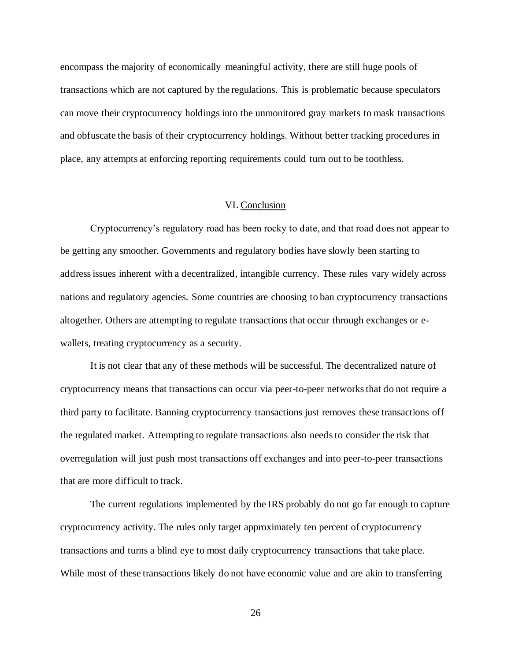encompass the majority of economically meaningful activity, there are still huge pools of transactions which are not captured by the regulations. This is problematic because speculators can move their cryptocurrency holdings into the unmonitored gray markets to mask transactions and obfuscate the basis of their cryptocurrency holdings. Without better tracking procedures in place, any attempts at enforcing reporting requirements could turn out to be toothless.

## VI. Conclusion

Cryptocurrency's regulatory road has been rocky to date, and that road does not appear to be getting any smoother. Governments and regulatory bodies have slowly been starting to address issues inherent with a decentralized, intangible currency. These rules vary widely across nations and regulatory agencies. Some countries are choosing to ban cryptocurrency transactions altogether. Others are attempting to regulate transactions that occur through exchanges or ewallets, treating cryptocurrency as a security.

It is not clear that any of these methods will be successful. The decentralized nature of cryptocurrency means that transactions can occur via peer-to-peer networks that do not require a third party to facilitate. Banning cryptocurrency transactions just removes these transactions off the regulated market. Attempting to regulate transactions also needs to consider the risk that overregulation will just push most transactions off exchanges and into peer-to-peer transactions that are more difficult to track.

The current regulations implemented by the IRS probably do not go far enough to capture cryptocurrency activity. The rules only target approximately ten percent of cryptocurrency transactions and turns a blind eye to most daily cryptocurrency transactions that take place. While most of these transactions likely do not have economic value and are akin to transferring

26